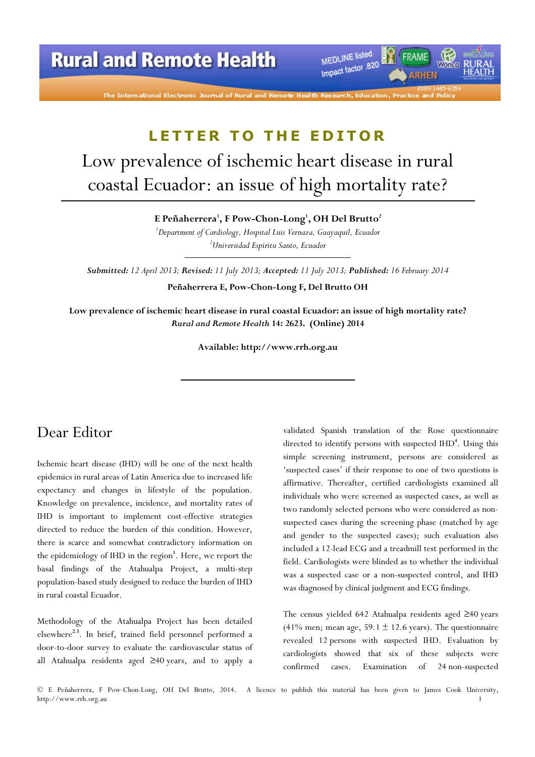**Rural and Remote Health** 

MEDLINE listed Impact factor 820 RHEN

## LETTER TO THE EDITOR

# Low prevalence of ischemic heart disease in rural coastal Ecuador: an issue of high mortality rate?

E Peñaherrera $^{\rm l}$ , F Pow-Chon-Long $^{\rm l}$ , OH Del Brutto $^{\rm 2}$ 

<sup>1</sup>Department of Cardiology, Hospital Luis Vernaza, Guayaquil, Ecuador <sup>2</sup>Universidad Espiritu Santo, Ecuador

Submitted: 12 April 2013; Revised: 11 July 2013; Accepted: 11 July 2013; Published: 16 February 2014

Peñaherrera E, Pow-Chon-Long F, Del Brutto OH

Low prevalence of ischemic heart disease in rural coastal Ecuador: an issue of high mortality rate? Rural and Remote Health 14: 2623. (Online) 2014

Available: http://www.rrh.org.au

### Dear Editor

Ischemic heart disease (IHD) will be one of the next health epidemics in rural areas of Latin America due to increased life expectancy and changes in lifestyle of the population. Knowledge on prevalence, incidence, and mortality rates of IHD is important to implement cost-effective strategies directed to reduce the burden of this condition. However, there is scarce and somewhat contradictory information on the epidemiology of IHD in the region<sup>1</sup>. Here, we report the basal findings of the Atahualpa Project, a multi-step population-based study designed to reduce the burden of IHD in rural coastal Ecuador.

Methodology of the Atahualpa Project has been detailed elsewhere<sup>2,3</sup>. In brief, trained field personnel performed a door-to-door survey to evaluate the cardiovascular status of all Atahualpa residents aged ≥40 years, and to apply a

validated Spanish translation of the Rose questionnaire directed to identify persons with suspected IHD<sup>4</sup>. Using this simple screening instrument, persons are considered as 'suspected cases' if their response to one of two questions is affirmative. Thereafter, certified cardiologists examined all individuals who were screened as suspected cases, as well as two randomly selected persons who were considered as nonsuspected cases during the screening phase (matched by age and gender to the suspected cases); such evaluation also included a 12-lead ECG and a treadmill test performed in the field. Cardiologists were blinded as to whether the individual was a suspected case or a non-suspected control, and IHD was diagnosed by clinical judgment and ECG findings.

The census yielded 642 Atahualpa residents aged ≥40 years (41% men; mean age, 59.1  $\pm$  12.6 years). The questionnaire revealed 12 persons with suspected IHD. Evaluation by cardiologists showed that six of these subjects were confirmed cases. Examination of 24 non-suspected

© E Peñaherrera, F Pow-Chon-Long, OH Del Brutto, 2014. A licence to publish this material has been given to James Cook University, http://www.rrh.org.au 1